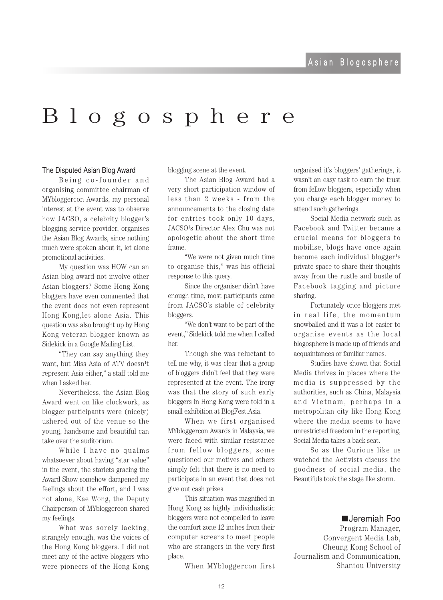## $B$  l  $\circ$  g  $\circ$  s  $p$  h  $e$  r  $e$

## The Disputed Asian Blog Award

Being co-founder and organising committee chairman of MYbloggercon Awards, my personal interest at the event was to observe how JACSO, a celebrity blogger's blogging service provider, organises the Asian Blog Awards, since nothing much were spoken about it, let alone promotional activities.

My question was HOW can an Asian blog award not involve other Asian bloggers? Some Hong Kong bloggers have even commented that the event does not even represent Hong Kong, let alone Asia. This question was also brought up by Hong Kong veteran blogger known as Sidekick in a Google Mailing List.

"They can say anything they" want, but Miss Asia of ATV doesn<sup>1</sup>t represent Asia either," a staff told me when I asked her.

Nevertheless, the Asian Blog Award went on like clockwork, as blogger participants were (nicely) ushered out of the venue so the young, handsome and beautiful can take over the auditorium.

While I have no qualms whatsoever about having "star value" in the event, the starlets gracing the Award Show somehow dampened my feelings about the effort, and I was not alone, Kae Wong, the Deputy Chairperson of MYbloggercon shared my feelings.

What was sorely lacking, strangely enough, was the voices of the Hong Kong bloggers. I did not meet any of the active bloggers who were pioneers of the Hong Kong blogging scene at the event.

The Asian Blog Award had a very short participation window of less than 2 weeks - from the announcements to the closing date for entries took only 10 days. JACSO<sup>1</sup>s Director Alex Chu was not apologetic about the short time frame.

"We were not given much time to organise this," was his official response to this query.

Since the organiser didn't have enough time, most participants came from JACSO's stable of celebrity .bloggers

"We don't want to be part of the event," Sidekick told me when I called her.

Though she was reluctant to tell me why, it was clear that a group of bloggers didn't feel that they were represented at the event. The irony was that the story of such early bloggers in Hong Kong were told in a small exhibition at BlogFest.Asia.

When we first organised MYbloggercon Awards in Malaysia, we were faced with similar resistance from fellow bloggers, some questioned our motives and others simply felt that there is no need to participate in an event that does not give out cash prizes.

This situation was magnified in Hong Kong as highly individualistic bloggers were not compelled to leave the comfort zone 12 inches from their computer screens to meet people who are strangers in the very first place.

When MYbloggercon first

organised it's bloggers' gatherings, it wasn't an easy task to earn the trust from fellow bloggers, especially when you charge each blogger money to attend such gatherings.

Social Media network such as Facebook and Twitter became a crucial means for bloggers to mobilise, blogs have once again become each individual blogger<sup>1</sup>s private space to share their thoughts away from the rustle and bustle of Facebook tagging and picture sharing.

Fortunately once bloggers met in real life, the momentum snowballed and it was a lot easier to organise events as the local blogosphere is made up of friends and acquaintances or familiar names.

Studies have shown that Social Media thrives in places where the media is suppressed by the authorities, such as China, Malaysia and Vietnam, perhaps in a metropolitan city like Hong Kong where the media seems to have unrestricted freedom in the reporting. Social Media takes a back seat.

So as the Curious like us watched the Activists discuss the goodness of social media, the Beautifuls took the stage like storm.

## **■Jeremiah** Foo

Program Manager, Convergent Media Lab, Cheung Kong School of Journalism and Communication, Shantou University